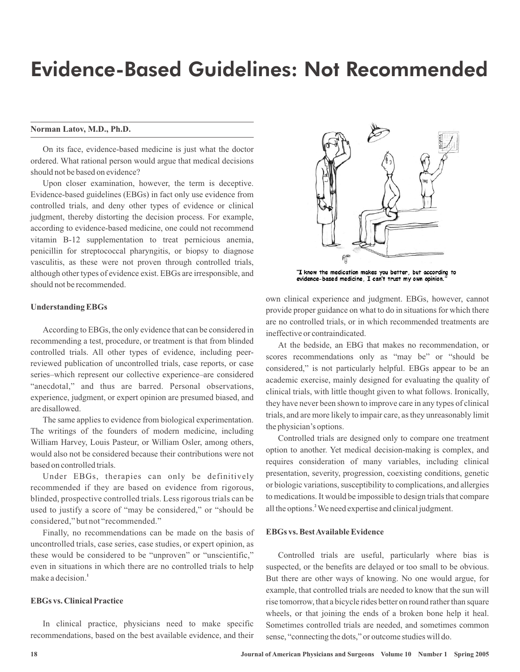# Evidence-Based Guidelines: Not Recommended

### **Norman Latov, M.D., Ph.D.**

On its face, evidence-based medicine is just what the doctor ordered. What rational person would argue that medical decisions should not be based on evidence?

Upon closer examination, however, the term is deceptive. Evidence-based guidelines (EBGs) in fact only use evidence from controlled trials, and deny other types of evidence or clinical judgment, thereby distorting the decision process. For example, according to evidence-based medicine, one could not recommend vitamin B-12 supplementation to treat pernicious anemia, penicillin for streptococcal pharyngitis, or biopsy to diagnose vasculitis, as these were not proven through controlled trials, although other types of evidence exist. EBGs are irresponsible, and should not be recommended.

# $\theta_1^{\text{200}}$

"I know the medication makes you better, but according to evidence-based medicine, I can't trust my own opinion.

# **Understanding EBGs**

According to EBGs, the only evidence that can be considered in recommending a test, procedure, or treatment is that from blinded controlled trials. All other types of evidence, including peerreviewed publication of uncontrolled trials, case reports, or case series–which represent our collective experience–are considered "anecdotal," and thus are barred. Personal observations, experience, judgment, or expert opinion are presumed biased, and are disallowed.

The same applies to evidence from biological experimentation. The writings of the founders of modern medicine, including William Harvey, Louis Pasteur, or William Osler, among others, would also not be considered because their contributions were not based on controlled trials.

Under EBGs, therapies can only be definitively recommended if they are based on evidence from rigorous, blinded, prospective controlled trials. Less rigorous trials can be used to justify a score of "may be considered," or "should be considered," but not "recommended."

Finally, no recommendations can be made on the basis of uncontrolled trials, case series, case studies, or expert opinion, as these would be considered to be "unproven" or "unscientific," even in situations in which there are no controlled trials to help make a decision. **1**

### **EBGs vs. Clinical Practice**

In clinical practice, physicians need to make specific recommendations, based on the best available evidence, and their own clinical experience and judgment. EBGs, however, cannot provide proper guidance on what to do in situations for which there are no controlled trials, or in which recommended treatments are ineffective or contraindicated.

At the bedside, an EBG that makes no recommendation, or scores recommendations only as "may be" or "should be considered," is not particularly helpful. EBGs appear to be an academic exercise, mainly designed for evaluating the quality of clinical trials, with little thought given to what follows. Ironically, they have never been shown to improve care in any types of clinical trials, and are more likely to impair care, as they unreasonably limit the physician's options.

Controlled trials are designed only to compare one treatment option to another. Yet medical decision-making is complex, and requires consideration of many variables, including clinical presentation, severity, progression, coexisting conditions, genetic or biologic variations, susceptibility to complications, and allergies to medications. It would be impossible to design trials that compare all the options.<sup>2</sup> We need expertise and clinical judgment.

### **EBGs vs. BestAvailable Evidence**

Controlled trials are useful, particularly where bias is suspected, or the benefits are delayed or too small to be obvious. But there are other ways of knowing. No one would argue, for example, that controlled trials are needed to know that the sun will rise tomorrow, that a bicycle rides better on round rather than square wheels, or that joining the ends of a broken bone help it heal. Sometimes controlled trials are needed, and sometimes common sense, "connecting the dots," or outcome studies will do.